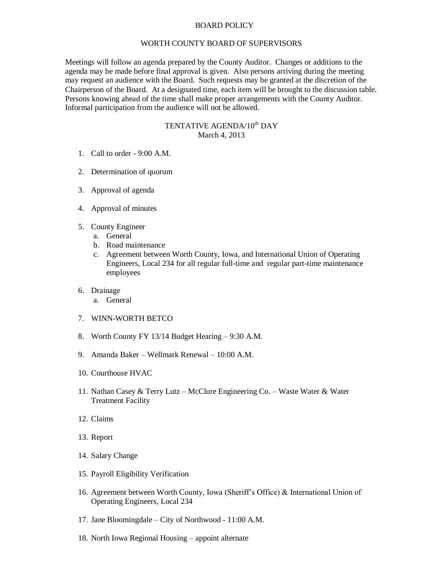## BOARD POLICY

## WORTH COUNTY BOARD OF SUPERVISORS

Meetings will follow an agenda prepared by the County Auditor. Changes or additions to the agenda may be made before final approval is given. Also persons arriving during the meeting may request an audience with the Board. Such requests may be granted at the discretion of the Chairperson of the Board. At a designated time, each item will be brought to the discussion table. Persons knowing ahead of the time shall make proper arrangements with the County Auditor. Informal participation from the audience will not be allowed.

## TENTATIVE AGENDA/10<sup>th</sup> DAY March 4, 2013

- 1. Call to order 9:00 A.M.
- 2. Determination of quorum
- 3. Approval of agenda
- 4. Approval of minutes
- 5. County Engineer
	- a. General
	- b. Road maintenance
	- c. Agreement between Worth County, Iowa, and International Union of Operating Engineers, Local 234 for all regular full-time and regular part-time maintenance employees
- 6. Drainage
	- a. General
- 7. WINN-WORTH BETCO
- 8. Worth County FY 13/14 Budget Hearing 9:30 A.M.
- 9. Amanda Baker Wellmark Renewal 10:00 A.M.
- 10. Courthouse HVAC
- 11. Nathan Casey & Terry Lutz McClure Engineering Co. Waste Water & Water Treatment Facility
- 12. Claims
- 13. Report
- 14. Salary Change
- 15. Payroll Eligibility Verification
- 16. Agreement between Worth County, Iowa (Sheriff's Office) & International Union of Operating Engineers, Local 234
- 17. Jane Bloomingdale City of Northwood 11:00 A.M.
- 18. North Iowa Regional Housing appoint alternate